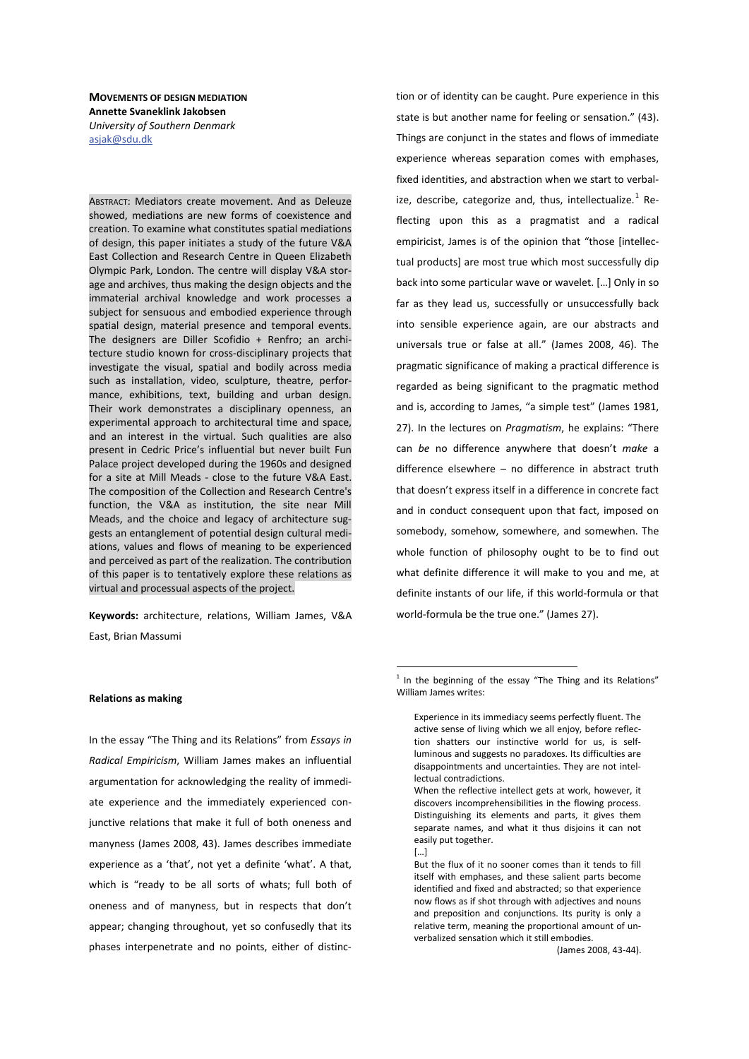**MOVEMENTS OF DESIGN MEDIATION Annette Svaneklink Jakobsen** *University of Southern Denmark*  asjak@sdu.dk

ABSTRACT: Mediators create movement. And as Deleuze showed, mediations are new forms of coexistence and creation. To examine what constitutes spatial mediations of design, this paper initiates a study of the future V&A East Collection and Research Centre in Queen Elizabeth Olympic Park, London. The centre will display V&A storage and archives, thus making the design objects and the immaterial archival knowledge and work processes a subject for sensuous and embodied experience through spatial design, material presence and temporal events. The designers are Diller Scofidio + Renfro; an architecture studio known for cross-disciplinary projects that investigate the visual, spatial and bodily across media such as installation, video, sculpture, theatre, performance, exhibitions, text, building and urban design. Their work demonstrates a disciplinary openness, an experimental approach to architectural time and space, and an interest in the virtual. Such qualities are also present in Cedric Price's influential but never built Fun Palace project developed during the 1960s and designed for a site at Mill Meads - close to the future V&A East. The composition of the Collection and Research Centre's function, the V&A as institution, the site near Mill Meads, and the choice and legacy of architecture suggests an entanglement of potential design cultural mediations, values and flows of meaning to be experienced and perceived as part of the realization. The contribution of this paper is to tentatively explore these relations as virtual and processual aspects of the project.

Keywords: architecture, relations, William James, V&A East, Brian Massumi

state is but another name for feeling or sensation." (43). Things are conjunct in the states and flows of immediate experience whereas separation comes with emphases, fixed identities, and abstraction when we start to verbalize, describe, categorize and, thus, intellectualize.<sup>1</sup> Reflecting upon this as a pragmatist and a radical empiricist, James is of the opinion that "those [intellectual products] are most true which most successfully dip back into some particular wave or wavelet. […] Only in so far as they lead us, successfully or unsuccessfully back into sensible experience again, are our abstracts and universals true or false at all." (James 2008, 46). The pragmatic significance of making a practical difference is regarded as being significant to the pragmatic method and is, according to James, "a simple test" (James 1981, 27). In the lectures on *Pragmatism*, he explains: "There can *be* no difference anywhere that doesn't *make* a difference elsewhere – no difference in abstract truth that doesn't express itself in a difference in concrete fact and in conduct consequent upon that fact, imposed on somebody, somehow, somewhere, and somewhen. The whole function of philosophy ought to be to find out what definite difference it will make to you and me, at definite instants of our life, if this world-formula or that world-formula be the true one." (James 27).

tion or of identity can be caught. Pure experience in this

### **Relations as making**

In the essay "The Thing and its Relations" from *Essays in Radical Empiricism*, William James makes an influential argumentation for acknowledging the reality of immediate experience and the immediately experienced conjunctive relations that make it full of both oneness and manyness (James 2008, 43). James describes immediate experience as a 'that', not yet a definite 'what'. A that, which is "ready to be all sorts of whats; full both of oneness and of manyness, but in respects that don't appear; changing throughout, yet so confusedly that its phases interpenetrate and no points, either of distinc-

 $1$  In the beginning of the essay "The Thing and its Relations" William James writes:

Experience in its immediacy seems perfectly fluent. The active sense of living which we all enjoy, before reflection shatters our instinctive world for us, is selfluminous and suggests no paradoxes. Its difficulties are disappointments and uncertainties. They are not intellectual contradictions.

When the reflective intellect gets at work, however, it discovers incomprehensibilities in the flowing process. Distinguishing its elements and parts, it gives them separate names, and what it thus disjoins it can not easily put together.

 $\lceil \ldots \rceil$ 

But the flux of it no sooner comes than it tends to fill itself with emphases, and these salient parts become identified and fixed and abstracted; so that experience now flows as if shot through with adjectives and nouns and preposition and conjunctions. Its purity is only a relative term, meaning the proportional amount of unverbalized sensation which it still embodies.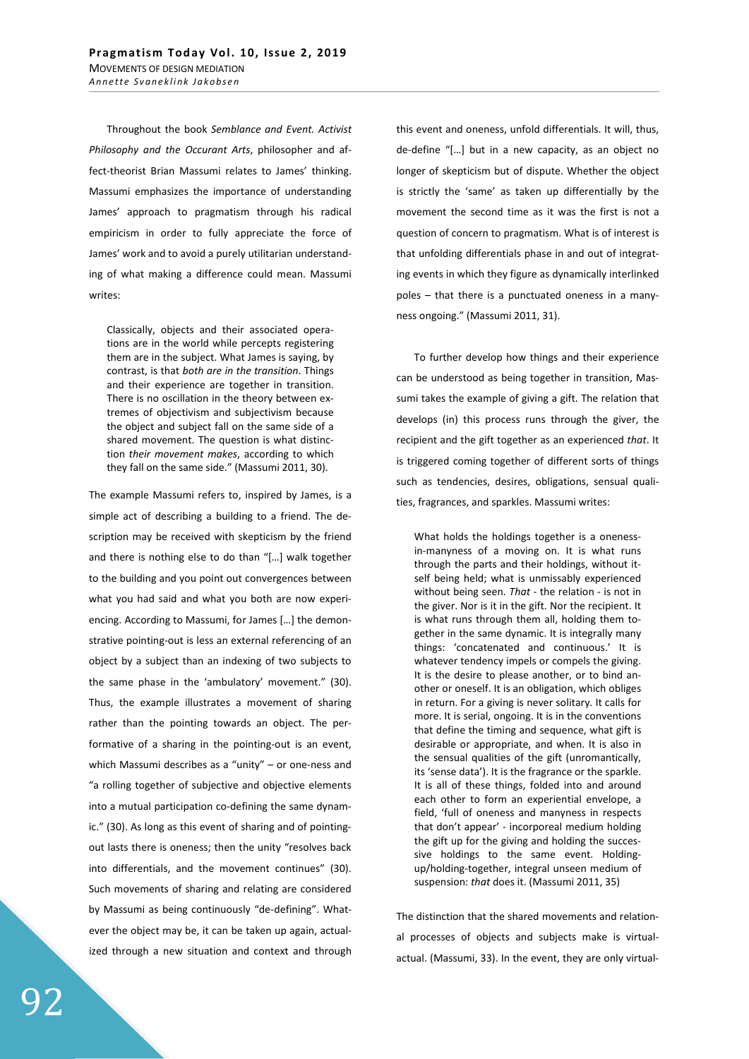Throughout the book *Semblance and Event. Activist Philosophy and the Occurant Arts*, philosopher and affect-theorist Brian Massumi relates to James' thinking. Massumi emphasizes the importance of understanding James' approach to pragmatism through his radical empiricism in order to fully appreciate the force of James' work and to avoid a purely utilitarian understanding of what making a difference could mean. Massumi writes:

Classically, objects and their associated operations are in the world while percepts registering them are in the subject. What James is saying, by contrast, is that *both are in the transition*. Things and their experience are together in transition. There is no oscillation in the theory between extremes of objectivism and subjectivism because the object and subject fall on the same side of a shared movement. The question is what distinction *their movement makes*, according to which they fall on the same side." (Massumi 2011, 30).

The example Massumi refers to, inspired by James, is a simple act of describing a building to a friend. The description may be received with skepticism by the friend and there is nothing else to do than "[…] walk together to the building and you point out convergences between what you had said and what you both are now experiencing. According to Massumi, for James […] the demonstrative pointing-out is less an external referencing of an object by a subject than an indexing of two subjects to the same phase in the 'ambulatory' movement." (30). Thus, the example illustrates a movement of sharing rather than the pointing towards an object. The performative of a sharing in the pointing-out is an event, which Massumi describes as a "unity" – or one-ness and "a rolling together of subjective and objective elements into a mutual participation co-defining the same dynamic." (30). As long as this event of sharing and of pointingout lasts there is oneness; then the unity "resolves back into differentials, and the movement continues" (30). Such movements of sharing and relating are considered by Massumi as being continuously "de-defining". Whatever the object may be, it can be taken up again, actualized through a new situation and context and through this event and oneness, unfold differentials. It will, thus, de-define "[…] but in a new capacity, as an object no longer of skepticism but of dispute. Whether the object is strictly the 'same' as taken up differentially by the movement the second time as it was the first is not a question of concern to pragmatism. What is of interest is that unfolding differentials phase in and out of integrating events in which they figure as dynamically interlinked poles – that there is a punctuated oneness in a manyness ongoing." (Massumi 2011, 31).

To further develop how things and their experience can be understood as being together in transition, Massumi takes the example of giving a gift. The relation that develops (in) this process runs through the giver, the recipient and the gift together as an experienced *that*. It is triggered coming together of different sorts of things such as tendencies, desires, obligations, sensual qualities, fragrances, and sparkles. Massumi writes:

What holds the holdings together is a onenessin-manyness of a moving on. It is what runs through the parts and their holdings, without itself being held; what is unmissably experienced without being seen. *That -* the relation - is not in the giver. Nor is it in the gift. Nor the recipient. It is what runs through them all, holding them together in the same dynamic. It is integrally many things: 'concatenated and continuous.' It is whatever tendency impels or compels the giving. It is the desire to please another, or to bind another or oneself. It is an obligation, which obliges in return. For a giving is never solitary. It calls for more. It is serial, ongoing. It is in the conventions that define the timing and sequence, what gift is desirable or appropriate, and when. It is also in the sensual qualities of the gift (unromantically, its 'sense data'). It is the fragrance or the sparkle. It is all of these things, folded into and around each other to form an experiential envelope, a field, 'full of oneness and manyness in respects that don't appear' - incorporeal medium holding the gift up for the giving and holding the successive holdings to the same event. Holdingup/holding-together, integral unseen medium of suspension: *that* does it. (Massumi 2011, 35)

The distinction that the shared movements and relational processes of objects and subjects make is virtualactual. (Massumi, 33). In the event, they are only virtual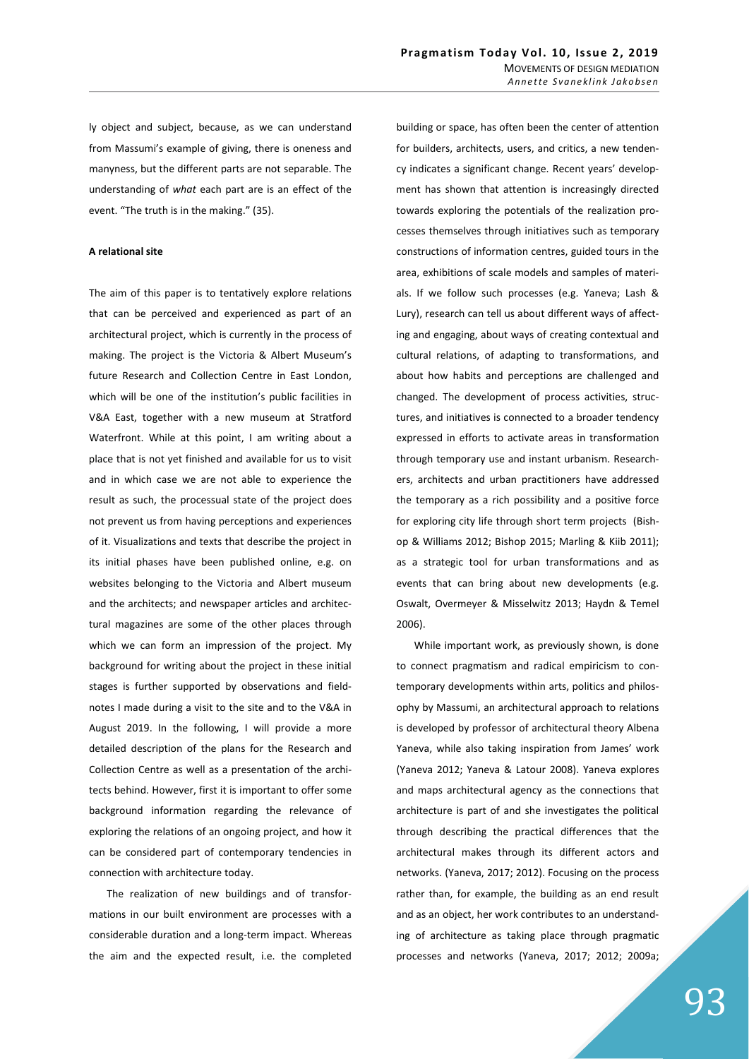ly object and subject, because, as we can understand from Massumi's example of giving, there is oneness and manyness, but the different parts are not separable. The understanding of *what* each part are is an effect of the event. "The truth is in the making." (35).

### **A** relational site

The aim of this paper is to tentatively explore relations that can be perceived and experienced as part of an architectural project, which is currently in the process of making. The project is the Victoria & Albert Museum's future Research and Collection Centre in East London, which will be one of the institution's public facilities in V&A East, together with a new museum at Stratford Waterfront. While at this point, I am writing about a place that is not yet finished and available for us to visit and in which case we are not able to experience the result as such, the processual state of the project does not prevent us from having perceptions and experiences of it. Visualizations and texts that describe the project in its initial phases have been published online, e.g. on websites belonging to the Victoria and Albert museum and the architects; and newspaper articles and architectural magazines are some of the other places through which we can form an impression of the project. My background for writing about the project in these initial stages is further supported by observations and fieldnotes I made during a visit to the site and to the V&A in August 2019. In the following, I will provide a more detailed description of the plans for the Research and Collection Centre as well as a presentation of the architects behind. However, first it is important to offer some background information regarding the relevance of exploring the relations of an ongoing project, and how it can be considered part of contemporary tendencies in connection with architecture today.

The realization of new buildings and of transformations in our built environment are processes with a considerable duration and a long-term impact. Whereas the aim and the expected result, i.e. the completed

building or space, has often been the center of attention for builders, architects, users, and critics, a new tendency indicates a significant change. Recent years' development has shown that attention is increasingly directed towards exploring the potentials of the realization processes themselves through initiatives such as temporary constructions of information centres, guided tours in the area, exhibitions of scale models and samples of materials. If we follow such processes (e.g. Yaneva; Lash & Lury), research can tell us about different ways of affecting and engaging, about ways of creating contextual and cultural relations, of adapting to transformations, and about how habits and perceptions are challenged and changed. The development of process activities, structures, and initiatives is connected to a broader tendency expressed in efforts to activate areas in transformation through temporary use and instant urbanism. Researchers, architects and urban practitioners have addressed the temporary as a rich possibility and a positive force for exploring city life through short term projects (Bishop & Williams 2012; Bishop 2015; Marling & Kiib 2011); as a strategic tool for urban transformations and as events that can bring about new developments (e.g. Oswalt, Overmeyer & Misselwitz 2013; Haydn & Temel 2006).

While important work, as previously shown, is done to connect pragmatism and radical empiricism to contemporary developments within arts, politics and philosophy by Massumi, an architectural approach to relations is developed by professor of architectural theory Albena Yaneva, while also taking inspiration from James' work (Yaneva 2012; Yaneva & Latour 2008). Yaneva explores and maps architectural agency as the connections that architecture is part of and she investigates the political through describing the practical differences that the architectural makes through its different actors and networks. (Yaneva, 2017; 2012). Focusing on the process rather than, for example, the building as an end result and as an object, her work contributes to an understanding of architecture as taking place through pragmatic processes and networks (Yaneva, 2017; 2012; 2009a;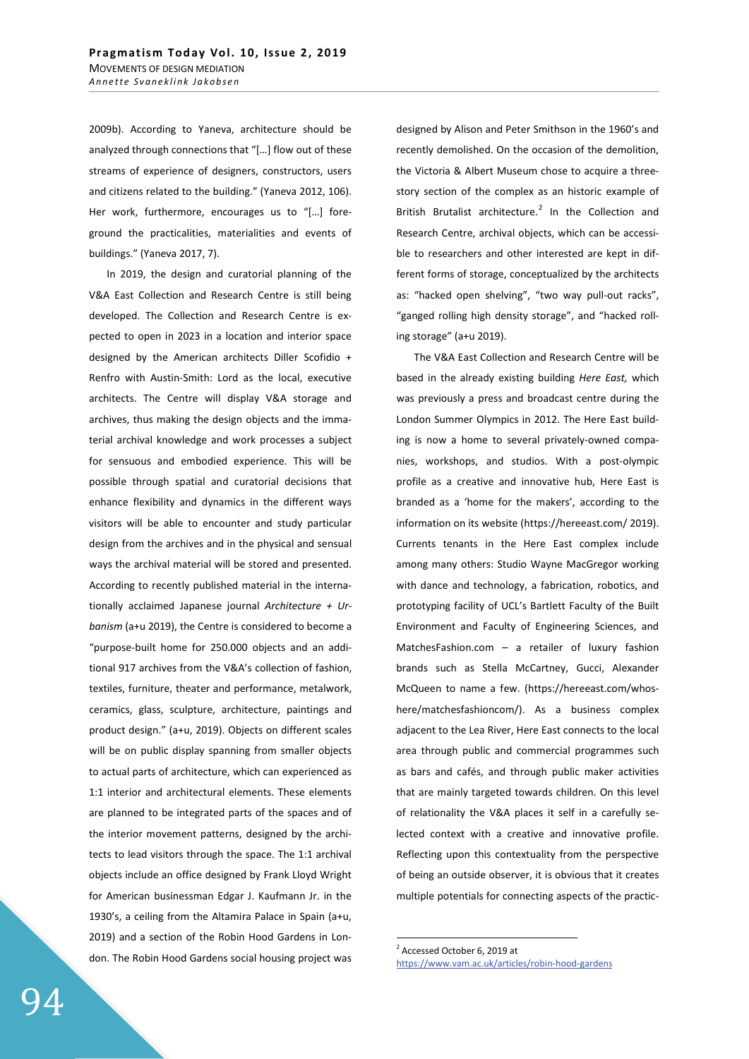2009b). According to Yaneva, architecture should be analyzed through connections that "[…] flow out of these streams of experience of designers, constructors, users and citizens related to the building." (Yaneva 2012, 106). Her work, furthermore, encourages us to "[…] foreground the practicalities, materialities and events of buildings." (Yaneva 2017, 7).

In 2019, the design and curatorial planning of the V&A East Collection and Research Centre is still being developed. The Collection and Research Centre is expected to open in 2023 in a location and interior space designed by the American architects Diller Scofidio + Renfro with Austin-Smith: Lord as the local, executive architects. The Centre will display V&A storage and archives, thus making the design objects and the immaterial archival knowledge and work processes a subject for sensuous and embodied experience. This will be possible through spatial and curatorial decisions that enhance flexibility and dynamics in the different ways visitors will be able to encounter and study particular design from the archives and in the physical and sensual ways the archival material will be stored and presented. According to recently published material in the internationally acclaimed Japanese journal *Architecture + Urbanism* (a+u 2019), the Centre is considered to become a "purpose-built home for 250.000 objects and an additional 917 archives from the V&A's collection of fashion, textiles, furniture, theater and performance, metalwork, ceramics, glass, sculpture, architecture, paintings and product design." (a+u, 2019). Objects on different scales will be on public display spanning from smaller objects to actual parts of architecture, which can experienced as 1:1 interior and architectural elements. These elements are planned to be integrated parts of the spaces and of the interior movement patterns, designed by the architects to lead visitors through the space. The 1:1 archival objects include an office designed by Frank Lloyd Wright for American businessman Edgar J. Kaufmann Jr. in the 1930's, a ceiling from the Altamira Palace in Spain (a+u, 2019) and a section of the Robin Hood Gardens in London. The Robin Hood Gardens social housing project was

designed by Alison and Peter Smithson in the 1960's and recently demolished. On the occasion of the demolition, the Victoria & Albert Museum chose to acquire a threestory section of the complex as an historic example of British Brutalist architecture.<sup>2</sup> In the Collection and Research Centre, archival objects, which can be accessible to researchers and other interested are kept in different forms of storage, conceptualized by the architects as: "hacked open shelving", "two way pull-out racks", "ganged rolling high density storage", and "hacked rolling storage" (a+u 2019).

The V&A East Collection and Research Centre will be based in the already existing building *Here East,* which was previously a press and broadcast centre during the London Summer Olympics in 2012. The Here East building is now a home to several privately-owned companies, workshops, and studios. With a post-olympic profile as a creative and innovative hub, Here East is branded as a 'home for the makers', according to the information on its website (https://hereeast.com/ 2019). Currents tenants in the Here East complex include among many others: Studio Wayne MacGregor working with dance and technology, a fabrication, robotics, and prototyping facility of UCL's Bartlett Faculty of the Built Environment and Faculty of Engineering Sciences, and MatchesFashion.com – a retailer of luxury fashion brands such as Stella McCartney, Gucci, Alexander McQueen to name a few. (https://hereeast.com/whoshere/matchesfashioncom/). As a business complex adjacent to the Lea River, Here East connects to the local area through public and commercial programmes such as bars and cafés, and through public maker activities that are mainly targeted towards children. On this level of relationality the V&A places it self in a carefully selected context with a creative and innovative profile. Reflecting upon this contextuality from the perspective of being an outside observer, it is obvious that it creates multiple potentials for connecting aspects of the practic-

<sup>2</sup> Accessed October 6, 2019 at https://www.vam.ac.uk/articles/robin-hood-gardens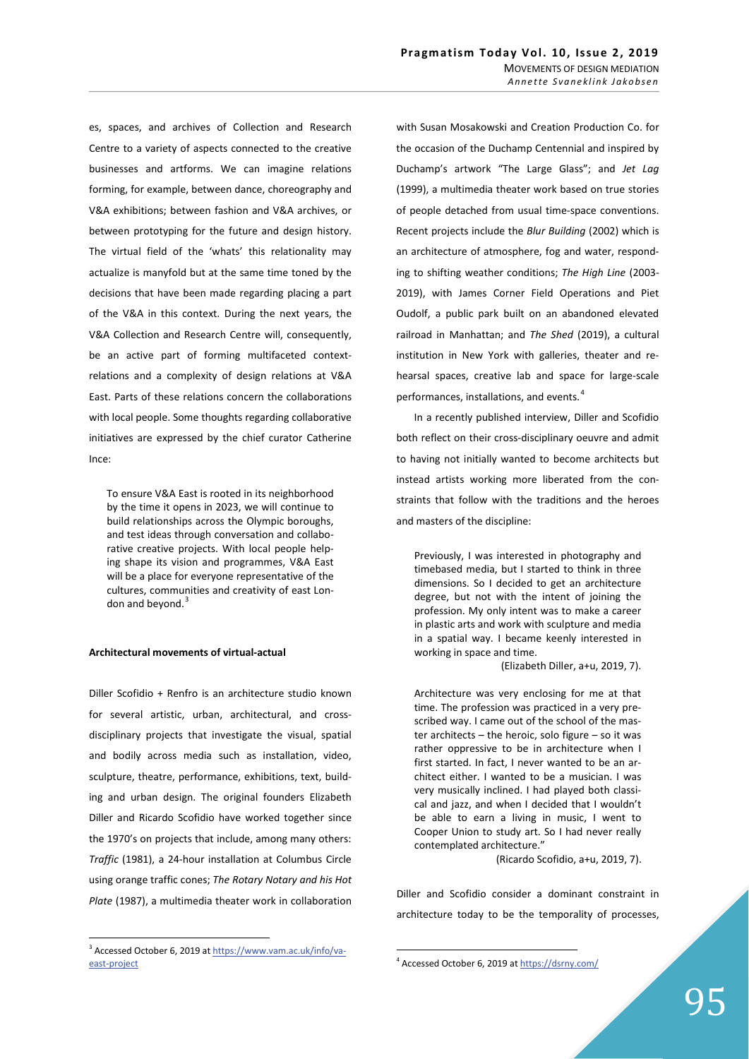es, spaces, and archives of Collection and Research Centre to a variety of aspects connected to the creative businesses and artforms. We can imagine relations forming, for example, between dance, choreography and V&A exhibitions; between fashion and V&A archives, or between prototyping for the future and design history. The virtual field of the 'whats' this relationality may actualize is manyfold but at the same time toned by the decisions that have been made regarding placing a part of the V&A in this context. During the next years, the V&A Collection and Research Centre will, consequently, be an active part of forming multifaceted contextrelations and a complexity of design relations at V&A East. Parts of these relations concern the collaborations with local people. Some thoughts regarding collaborative initiatives are expressed by the chief curator Catherine Ince:

To ensure V&A East is rooted in its neighborhood by the time it opens in 2023, we will continue to build relationships across the Olympic boroughs, and test ideas through conversation and collaborative creative projects. With local people helping shape its vision and programmes, V&A East will be a place for everyone representative of the cultures, communities and creativity of east London and beyond.<sup>3</sup>

# **Architectural movements of virtual-actual**

Diller Scofidio + Renfro is an architecture studio known for several artistic, urban, architectural, and crossdisciplinary projects that investigate the visual, spatial and bodily across media such as installation, video, sculpture, theatre, performance, exhibitions, text, building and urban design. The original founders Elizabeth Diller and Ricardo Scofidio have worked together since the 1970's on projects that include, among many others: *Traffic* (1981), a 24-hour installation at Columbus Circle using orange traffic cones; *The Rotary Notary and his Hot Plate* (1987), a multimedia theater work in collaboration with Susan Mosakowski and Creation Production Co. for the occasion of the Duchamp Centennial and inspired by Duchamp's artwork "The Large Glass"; and *Jet Lag* (1999), a multimedia theater work based on true stories of people detached from usual time-space conventions. Recent projects include the *Blur Building* (2002) which is an architecture of atmosphere, fog and water, responding to shifting weather conditions; *The High Line* (2003- 2019), with James Corner Field Operations and Piet Oudolf, a public park built on an abandoned elevated railroad in Manhattan; and *The Shed* (2019), a cultural institution in New York with galleries, theater and rehearsal spaces, creative lab and space for large-scale performances, installations, and events.<sup>4</sup>

In a recently published interview, Diller and Scofidio both reflect on their cross-disciplinary oeuvre and admit to having not initially wanted to become architects but instead artists working more liberated from the constraints that follow with the traditions and the heroes and masters of the discipline:

Previously, I was interested in photography and timebased media, but I started to think in three dimensions. So I decided to get an architecture degree, but not with the intent of joining the profession. My only intent was to make a career in plastic arts and work with sculpture and media in a spatial way. I became keenly interested in working in space and time.

(Elizabeth Diller, a+u, 2019, 7).

Architecture was very enclosing for me at that time. The profession was practiced in a very prescribed way. I came out of the school of the master architects – the heroic, solo figure – so it was rather oppressive to be in architecture when I first started. In fact, I never wanted to be an architect either. I wanted to be a musician. I was very musically inclined. I had played both classical and jazz, and when I decided that I wouldn't be able to earn a living in music, I went to Cooper Union to study art. So I had never really contemplated architecture."

(Ricardo Scofidio, a+u, 2019, 7).

Diller and Scofidio consider a dominant constraint in architecture today to be the temporality of processes,

<sup>&</sup>lt;sup>3</sup> Accessed October 6, 2019 at https://www.vam.ac.uk/info/vaeast-project

<sup>&</sup>lt;sup>4</sup> Accessed October 6, 2019 at https://dsrny.com/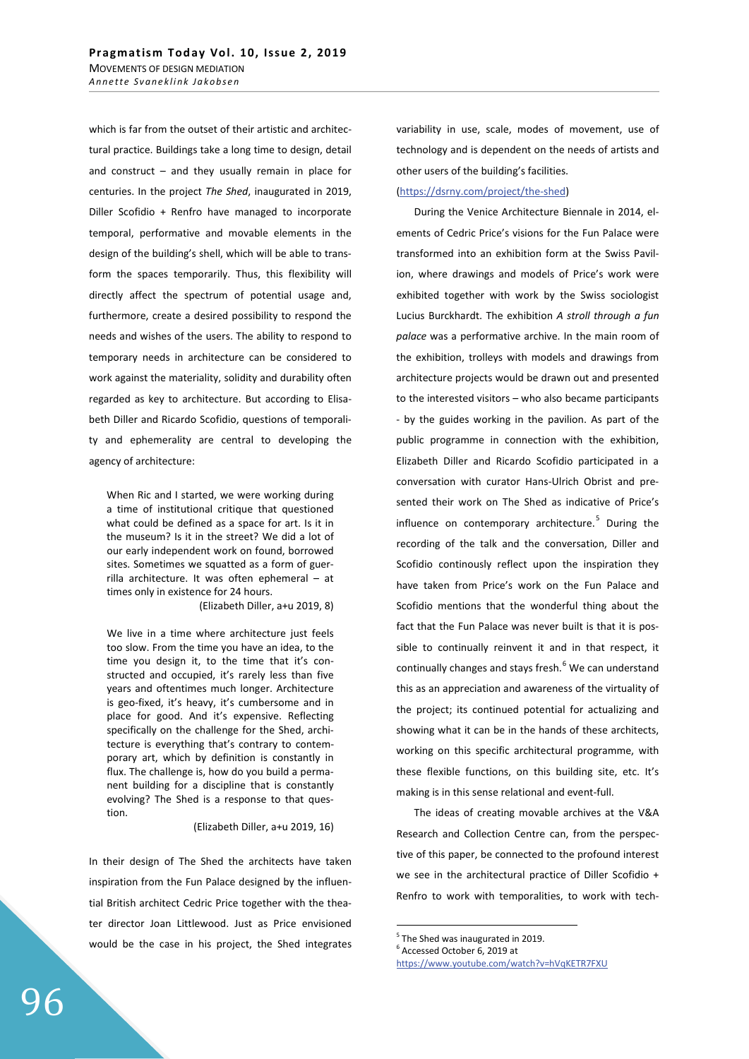which is far from the outset of their artistic and architectural practice. Buildings take a long time to design, detail and construct  $-$  and they usually remain in place for centuries. In the project *The Shed*, inaugurated in 2019, Diller Scofidio + Renfro have managed to incorporate temporal, performative and movable elements in the design of the building's shell, which will be able to transform the spaces temporarily. Thus, this flexibility will directly affect the spectrum of potential usage and, furthermore, create a desired possibility to respond the needs and wishes of the users. The ability to respond to temporary needs in architecture can be considered to work against the materiality, solidity and durability often regarded as key to architecture. But according to Elisabeth Diller and Ricardo Scofidio, questions of temporality and ephemerality are central to developing the agency of architecture:

When Ric and I started, we were working during a time of institutional critique that questioned what could be defined as a space for art. Is it in the museum? Is it in the street? We did a lot of our early independent work on found, borrowed sites. Sometimes we squatted as a form of guerrilla architecture. It was often ephemeral – at times only in existence for 24 hours.

(Elizabeth Diller, a+u 2019, 8)

We live in a time where architecture just feels too slow. From the time you have an idea, to the time you design it, to the time that it's constructed and occupied, it's rarely less than five years and oftentimes much longer. Architecture is geo-fixed, it's heavy, it's cumbersome and in place for good. And it's expensive. Reflecting specifically on the challenge for the Shed, architecture is everything that's contrary to contemporary art, which by definition is constantly in flux. The challenge is, how do you build a permanent building for a discipline that is constantly evolving? The Shed is a response to that question.

## (Elizabeth Diller, a+u 2019, 16)

In their design of The Shed the architects have taken inspiration from the Fun Palace designed by the influential British architect Cedric Price together with the theater director Joan Littlewood. Just as Price envisioned would be the case in his project, the Shed integrates variability in use, scale, modes of movement, use of technology and is dependent on the needs of artists and other users of the building's facilities.

# (https://dsrny.com/project/the-shed)

During the Venice Architecture Biennale in 2014, elements of Cedric Price's visions for the Fun Palace were transformed into an exhibition form at the Swiss Pavilion, where drawings and models of Price's work were exhibited together with work by the Swiss sociologist Lucius Burckhardt. The exhibition *A stroll through a fun palace* was a performative archive. In the main room of the exhibition, trolleys with models and drawings from architecture projects would be drawn out and presented to the interested visitors – who also became participants - by the guides working in the pavilion. As part of the public programme in connection with the exhibition, Elizabeth Diller and Ricardo Scofidio participated in a conversation with curator Hans-Ulrich Obrist and presented their work on The Shed as indicative of Price's influence on contemporary architecture.<sup>5</sup> During the recording of the talk and the conversation, Diller and Scofidio continously reflect upon the inspiration they have taken from Price's work on the Fun Palace and Scofidio mentions that the wonderful thing about the fact that the Fun Palace was never built is that it is possible to continually reinvent it and in that respect, it continually changes and stays fresh.<sup>6</sup> We can understand this as an appreciation and awareness of the virtuality of the project; its continued potential for actualizing and showing what it can be in the hands of these architects, working on this specific architectural programme, with these flexible functions, on this building site, etc. It's making is in this sense relational and event-full.

The ideas of creating movable archives at the V&A Research and Collection Centre can, from the perspective of this paper, be connected to the profound interest we see in the architectural practice of Diller Scofidio + Renfro to work with temporalities, to work with tech-

<sup>5</sup> The Shed was inaugurated in 2019.

<sup>6</sup> Accessed October 6, 2019 at

https://www.youtube.com/watch?v=hVqKETR7FXU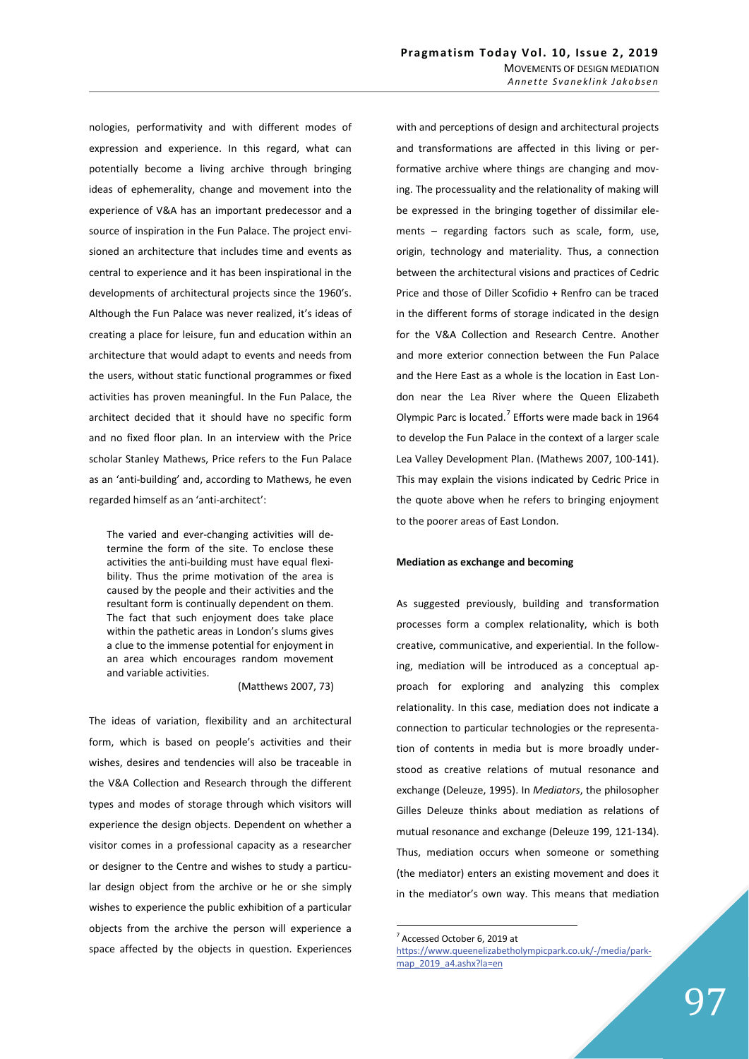nologies, performativity and with different modes of expression and experience. In this regard, what can potentially become a living archive through bringing ideas of ephemerality, change and movement into the experience of V&A has an important predecessor and a source of inspiration in the Fun Palace. The project envisioned an architecture that includes time and events as central to experience and it has been inspirational in the developments of architectural projects since the 1960's. Although the Fun Palace was never realized, it's ideas of creating a place for leisure, fun and education within an architecture that would adapt to events and needs from the users, without static functional programmes or fixed activities has proven meaningful. In the Fun Palace, the architect decided that it should have no specific form and no fixed floor plan. In an interview with the Price scholar Stanley Mathews, Price refers to the Fun Palace as an 'anti-building' and, according to Mathews, he even regarded himself as an 'anti-architect':

The varied and ever-changing activities will determine the form of the site. To enclose these activities the anti-building must have equal flexibility. Thus the prime motivation of the area is caused by the people and their activities and the resultant form is continually dependent on them. The fact that such enjoyment does take place within the pathetic areas in London's slums gives a clue to the immense potential for enjoyment in an area which encourages random movement and variable activities.

(Matthews 2007, 73)

The ideas of variation, flexibility and an architectural form, which is based on people's activities and their wishes, desires and tendencies will also be traceable in the V&A Collection and Research through the different types and modes of storage through which visitors will experience the design objects. Dependent on whether a visitor comes in a professional capacity as a researcher or designer to the Centre and wishes to study a particular design object from the archive or he or she simply wishes to experience the public exhibition of a particular objects from the archive the person will experience a space affected by the objects in question. Experiences

with and perceptions of design and architectural projects and transformations are affected in this living or performative archive where things are changing and moving. The processuality and the relationality of making will be expressed in the bringing together of dissimilar elements – regarding factors such as scale, form, use, origin, technology and materiality. Thus, a connection between the architectural visions and practices of Cedric Price and those of Diller Scofidio + Renfro can be traced in the different forms of storage indicated in the design for the V&A Collection and Research Centre. Another and more exterior connection between the Fun Palace and the Here East as a whole is the location in East London near the Lea River where the Queen Elizabeth Olympic Parc is located.<sup>7</sup> Efforts were made back in 1964 to develop the Fun Palace in the context of a larger scale Lea Valley Development Plan. (Mathews 2007, 100-141). This may explain the visions indicated by Cedric Price in the quote above when he refers to bringing enjoyment to the poorer areas of East London.

#### **Mediation as exchange and becoming**

As suggested previously, building and transformation processes form a complex relationality, which is both creative, communicative, and experiential. In the following, mediation will be introduced as a conceptual approach for exploring and analyzing this complex relationality. In this case, mediation does not indicate a connection to particular technologies or the representation of contents in media but is more broadly understood as creative relations of mutual resonance and exchange (Deleuze, 1995). In *Mediators*, the philosopher Gilles Deleuze thinks about mediation as relations of mutual resonance and exchange (Deleuze 199, 121-134). Thus, mediation occurs when someone or something (the mediator) enters an existing movement and does it in the mediator's own way. This means that mediation

<sup>7</sup> Accessed October 6, 2019 at

https://www.queenelizabetholympicpark.co.uk/-/media/parkmap\_2019\_a4.ashx?la=en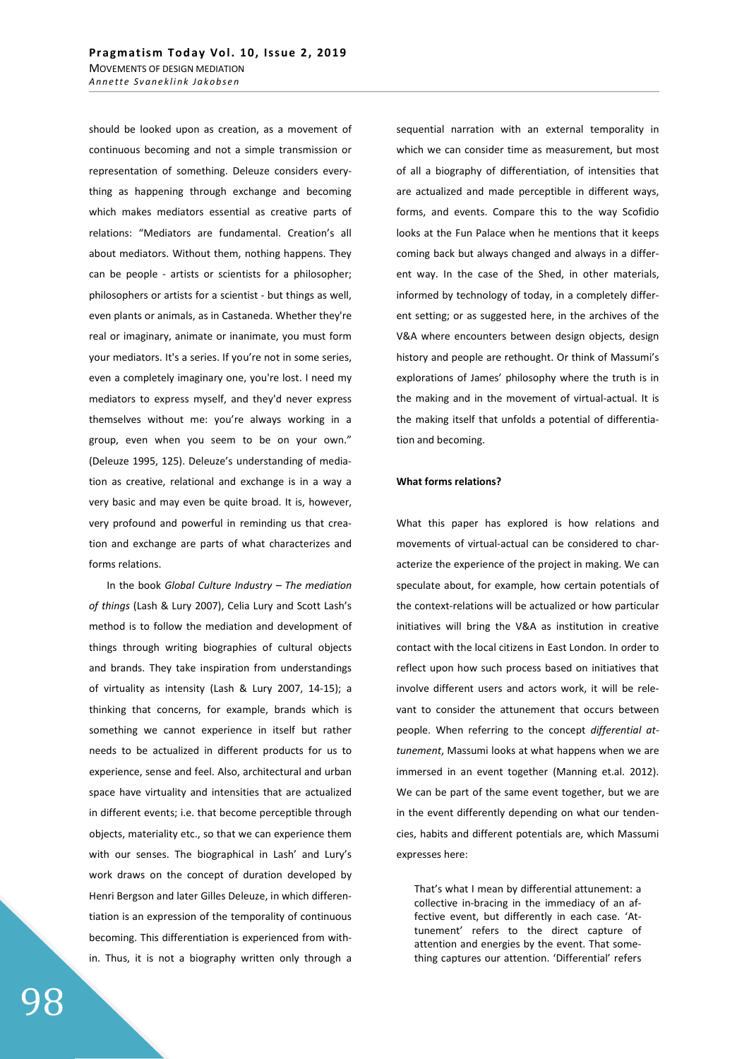should be looked upon as creation, as a movement of continuous becoming and not a simple transmission or representation of something. Deleuze considers everything as happening through exchange and becoming which makes mediators essential as creative parts of relations: "Mediators are fundamental. Creation's all about mediators. Without them, nothing happens. They can be people - artists or scientists for a philosopher; philosophers or artists for a scientist - but things as well, even plants or animals, as in Castaneda. Whether they're real or imaginary, animate or inanimate, you must form your mediators. It's a series. If you're not in some series, even a completely imaginary one, you're lost. I need my mediators to express myself, and they'd never express themselves without me: you're always working in a group, even when you seem to be on your own." (Deleuze 1995, 125). Deleuze's understanding of mediation as creative, relational and exchange is in a way a very basic and may even be quite broad. It is, however, very profound and powerful in reminding us that creation and exchange are parts of what characterizes and forms relations.

In the book *Global Culture Industry – The mediation of things* (Lash & Lury 2007), Celia Lury and Scott Lash's method is to follow the mediation and development of things through writing biographies of cultural objects and brands. They take inspiration from understandings of virtuality as intensity (Lash & Lury 2007, 14-15); a thinking that concerns, for example, brands which is something we cannot experience in itself but rather needs to be actualized in different products for us to experience, sense and feel. Also, architectural and urban space have virtuality and intensities that are actualized in different events; i.e. that become perceptible through objects, materiality etc., so that we can experience them with our senses. The biographical in Lash' and Lury's work draws on the concept of duration developed by Henri Bergson and later Gilles Deleuze, in which differentiation is an expression of the temporality of continuous becoming. This differentiation is experienced from within. Thus, it is not a biography written only through a

sequential narration with an external temporality in which we can consider time as measurement, but most of all a biography of differentiation, of intensities that are actualized and made perceptible in different ways, forms, and events. Compare this to the way Scofidio looks at the Fun Palace when he mentions that it keeps coming back but always changed and always in a different way. In the case of the Shed, in other materials, informed by technology of today, in a completely different setting; or as suggested here, in the archives of the V&A where encounters between design objects, design history and people are rethought. Or think of Massumi's explorations of James' philosophy where the truth is in the making and in the movement of virtual-actual. It is the making itself that unfolds a potential of differentiation and becoming.

### **What forms relations?**

What this paper has explored is how relations and movements of virtual-actual can be considered to characterize the experience of the project in making. We can speculate about, for example, how certain potentials of the context-relations will be actualized or how particular initiatives will bring the V&A as institution in creative contact with the local citizens in East London. In order to reflect upon how such process based on initiatives that involve different users and actors work, it will be relevant to consider the attunement that occurs between people. When referring to the concept *differential attunement*, Massumi looks at what happens when we are immersed in an event together (Manning et.al. 2012). We can be part of the same event together, but we are in the event differently depending on what our tendencies, habits and different potentials are, which Massumi expresses here:

That's what I mean by differential attunement: a collective in-bracing in the immediacy of an affective event, but differently in each case. 'Attunement' refers to the direct capture of attention and energies by the event. That something captures our attention. 'Differential' refers